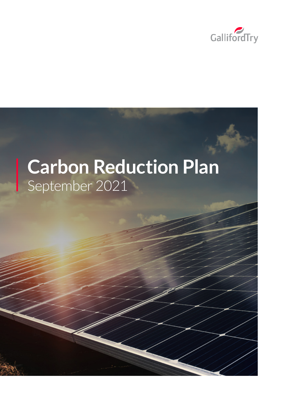

# **Carbon Reduction Plan** September 2021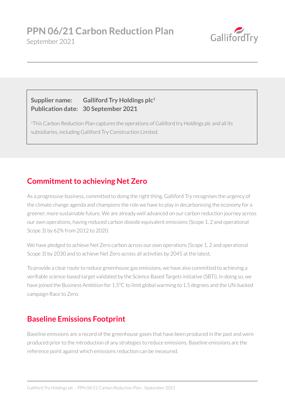

#### **Supplier name: Galliford Try Holdings plc1 Publication date: 30 September 2021**

<sup>1</sup>This Carbon Reduction Plan captures the operations of Galliford try Holdings plc and all its subsidiaries, including Galliford Try Construction Limited.

## **Commitment to achieving Net Zero**

As a progressive business, committed to doing the right thing, Galliford Try recognises the urgency of the climate change agenda and champions the role we have to play in decarbonising the economy for a greener, more sustainable future. We are already well advanced on our carbon reduction journey across our own operations, having reduced carbon dioxide equivalent emissions (Scope 1, 2 and operational Scope 3) by 62% from 2012 to 2020.

We have pledged to achieve Net Zero carbon across our own operations (Scope 1, 2 and operational Scope 3) by 2030 and to achieve Net Zero across all activities by 2045 at the latest.

To provide a clear route to reduce greenhouse gas emissions, we have also committed to achieving a verifiable science-based target validated by the Science Based Targets initiative (SBTi). In doing so, we have joined the Business Ambition for 1.5°C to limit global warming to 1.5 degrees and the UN-backed campaign Race to Zero.

# **Baseline Emissions Footprint**

Baseline emissions are a record of the greenhouse gases that have been produced in the past and were produced prior to the introduction of any strategies to reduce emissions. Baseline emissions are the reference point against which emissions reduction can be measured.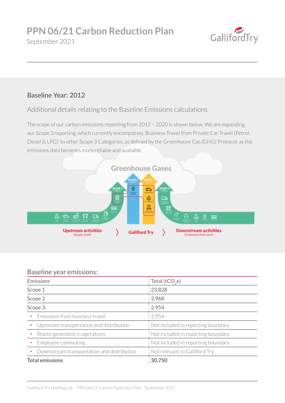

#### **Baseline Year: 2012**

Additional details relating to the Baseline Emissions calculations

The scope of our carbon emissions reporting from 2012 – 2020 is shown below. We are expanding our Scope 3 reporting, which currently encompasses 'Business Travel from Private Car Travel (Petrol, Diesel & LPG)' to other Scope 3 Categories, as defined by the Greenhouse Gas (GHG) Protocol, as the emissions data becomes more reliable and available.



#### Baseline year emissions:

| <b>Emissions</b>                           | : Total (tCO <sub>2</sub> e)                       |
|--------------------------------------------|----------------------------------------------------|
| Scope 1                                    | : 23,828                                           |
| Scope 2                                    | :3,968                                             |
| Scope 3:                                   | : 2,954                                            |
| Emissions from business travel<br>٠        | : 2,954                                            |
| Upstream transportation and distribution   | : Not included in reporting boundary               |
| Waste generated in operations              | $\frac{1}{2}$ : Not included in reporting boundary |
| Employee commuting                         | $\frac{1}{2}$ Not included in reporting boundary   |
| Downstream transportation and distribution | Not relevant to Galliford Try                      |
| <b>Total emissions</b>                     | $\frac{1}{2}30,750$                                |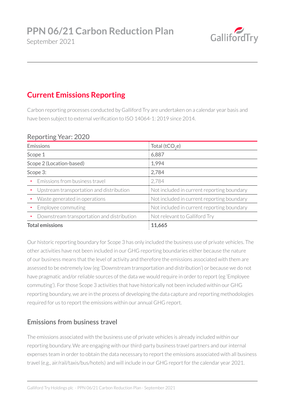

# September 2021

# **Current Emissions Reporting**

Carbon reporting processes conducted by Galliford Try are undertaken on a calendar year basis and have been subject to external verification to ISO 14064-1: 2019 since 2014.

| $1.9901$ cm $2.1001$ $2.202$                 |  |
|----------------------------------------------|--|
| : Total (tCO <sub>2</sub> e)                 |  |
| 6,887                                        |  |
| : 1,994                                      |  |
| : 2,784                                      |  |
| : 2,784                                      |  |
| : Not included in current reporting boundary |  |
| : Not included in current reporting boundary |  |
| : Not included in current reporting boundary |  |
| $\frac{1}{2}$ Not relevant to Galliford Try  |  |
| : 11,665                                     |  |
|                                              |  |

#### Reporting Year: 2020

Our historic reporting boundary for Scope 3 has only included the business use of private vehicles. The other activities have not been included in our GHG reporting boundaries either because the nature of our business means that the level of activity and therefore the emissions associated with them are assessed to be extremely low (eg 'Downstream transportation and distribution') or because we do not have pragmatic and/or reliable sources of the data we would require in order to report (eg 'Employee commuting'). For those Scope 3 activities that have historically not been included within our GHG reporting boundary, we are in the process of developing the data capture and reporting methodologies required for us to report the emissions within our annual GHG report.

#### **Emissions from business travel**

The emissions associated with the business use of private vehicles is already included within our reporting boundary. We are engaging with our third-party business travel partners and our internal expenses team in order to obtain the data necessary to report the emissions associated with all business travel (e.g., air/rail/taxis/bus/hotels) and will include in our GHG report for the calendar year 2021.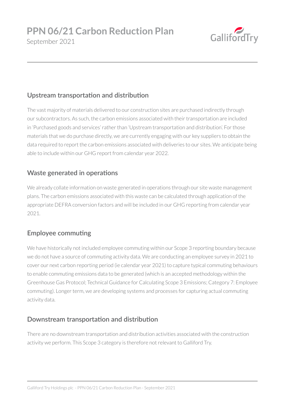

#### **Upstream transportation and distribution**

The vast majority of materials delivered to our construction sites are purchased indirectly through our subcontractors. As such, the carbon emissions associated with their transportation are included in 'Purchased goods and services' rather than 'Upstream transportation and distribution'. For those materials that we do purchase directly, we are currently engaging with our key suppliers to obtain the data required to report the carbon emissions associated with deliveries to our sites. We anticipate being able to include within our GHG report from calendar year 2022.

#### **Waste generated in operations**

We already collate information on waste generated in operations through our site waste management plans. The carbon emissions associated with this waste can be calculated through application of the appropriate DEFRA conversion factors and will be included in our GHG reporting from calendar year 2021.

#### **Employee commuting**

We have historically not included employee commuting within our Scope 3 reporting boundary because we do not have a source of commuting activity data. We are conducting an employee survey in 2021 to cover our next carbon reporting period (ie calendar year 2021) to capture typical commuting behaviours to enable commuting emissions data to be generated (which is an accepted methodology within the Greenhouse Gas Protocol; Technical Guidance for Calculating Scope 3 Emissions; Category 7: Employee commuting). Longer term, we are developing systems and processes for capturing actual commuting activity data.

#### **Downstream transportation and distribution**

There are no downstream transportation and distribution activities associated with the construction activity we perform. This Scope 3 category is therefore not relevant to Galliford Try.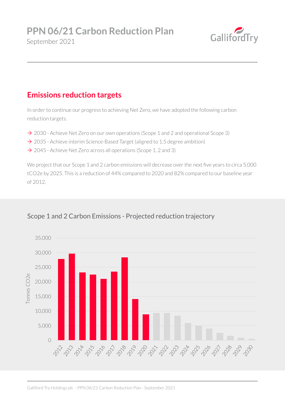

# **Emissions reduction targets**

In order to continue our progress to achieving Net Zero, we have adopted the following carbon reduction targets.

- $\rightarrow$  2030 Achieve Net Zero on our own operations (Scope 1 and 2 and operational Scope 3)
- $\rightarrow$  2035 Achieve interim Science-Based Target (aligned to 1.5 degree ambition)
- $\rightarrow$  2045 Achieve Net Zero across all operations (Scope 1, 2 and 3)

We project that our Scope 1 and 2 carbon emissions will decrease over the next five years to circa 5,000 tCO2e by 2025. This is a reduction of 44% compared to 2020 and 82% compared to our baseline year of 2012.



#### Scope 1 and 2 Carbon Emissions - Projected reduction trajectory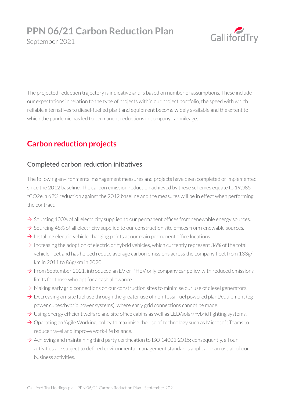

The projected reduction trajectory is indicative and is based on number of assumptions. These include our expectations in relation to the type of projects within our project portfolio, the speed with which reliable alternatives to diesel-fuelled plant and equipment become widely available and the extent to which the pandemic has led to permanent reductions in company car mileage.

# **Carbon reduction projects**

#### **Completed carbon reduction initiatives**

The following environmental management measures and projects have been completed or implemented since the 2012 baseline. The carbon emission reduction achieved by these schemes equate to 19,085 tCO2e, a 62% reduction against the 2012 baseline and the measures will be in effect when performing the contract.

- $\rightarrow$  Sourcing 100% of all electricity supplied to our permanent offices from renewable energy sources.
- $\rightarrow$  Sourcing 48% of all electricity supplied to our construction site offices from renewable sources.
- $\rightarrow$  Installing electric vehicle charging points at our main permanent office locations.
- $\rightarrow$  Increasing the adoption of electric or hybrid vehicles, which currently represent 36% of the total vehicle fleet and has helped reduce average carbon emissions across the company fleet from 133g/ km in 2011 to 86g/km in 2020.
- $\rightarrow$  From September 2021, introduced an EV or PHEV only company car policy, with reduced emissions limits for those who opt for a cash allowance.
- $\rightarrow$  Making early grid connections on our construction sites to minimise our use of diesel generators.
- $\rightarrow$  Decreasing on-site fuel use through the greater use of non-fossil fuel powered plant/equipment (eg power cubes/hybrid power systems), where early grid connections cannot be made.
- $\rightarrow$  Using energy efficient welfare and site office cabins as well as LED/solar/hybrid lighting systems.
- $\rightarrow$  Operating an 'Agile Working' policy to maximise the use of technology such as Microsoft Teams to reduce travel and improve work-life balance.
- $\rightarrow$  Achieving and maintaining third party certification to ISO 14001:2015; consequently, all our activities are subject to defined environmental management standards applicable across all of our business activities.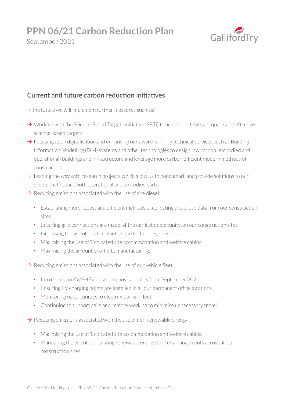

## September 2021

#### **Current and future carbon reduction initiatives**

In the future we will implement further measures such as:

- $\rightarrow$  Working with the Science-Based Targets initiative (SBTi) to achieve suitable, adequate, and effective science-based targets.
- $\rightarrow$  Focusing upon digitalisation and enhancing our award-winning technical services such as Building Information Modelling (BIM) systems and other technologies to design low carbon (embodied and operational) buildings and infrastructure and leverage more carbon efficient modern methods of construction.
- $\rightarrow$  Leading the way with research projects which allow us to benchmark and provide solutions to our clients that reduce both operational and embodied carbon.
- $\rightarrow$  Reducing emissions associated with the use of site diesel:
	- Establishing more robust and efficient methods of collecting diesel use data from our construction sites.
	- Ensuring grid connections are made, at the earliest opportunity, on our construction sites.
	- Increasing the use of electric plant, as the technology develops.
	- Maximising the use of 'Eco' rated site accommodation and welfare cabins.
	- Maximising the amount of off-site manufacturing.

 $\rightarrow$  Reducing emissions associated with the use of our vehicle fleet:

- Introduced an EV/PHEV only company car policy from September 2021.
- Ensuring EV charging points are installed in all our permanent office locations.
- Monitoring opportunities to electrify our van fleet.
- Continuing to support agile and remote working to minimise unnecessary travel.

 $\rightarrow$  Reducing emissions associated with the use of non-renewable energy:

- Maximising the use of 'Eco' rated site accommodation and welfare cabins.
- Mandating the use of our existing renewable energy broker arrangements across all our construction sites.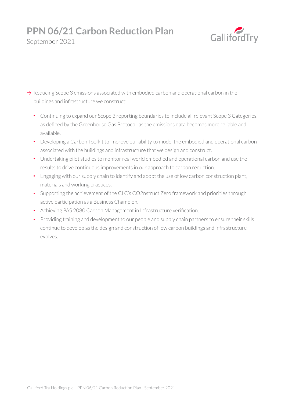# **PPN 06/21 Carbon Reduction Plan**

September 2021



- $\rightarrow$  Reducing Scope 3 emissions associated with embodied carbon and operational carbon in the buildings and infrastructure we construct:
	- Continuing to expand our Scope 3 reporting boundaries to include all relevant Scope 3 Categories, as defined by the Greenhouse Gas Protocol, as the emissions data becomes more reliable and available.
	- Developing a Carbon Toolkit to improve our ability to model the embodied and operational carbon associated with the buildings and infrastructure that we design and construct.
	- Undertaking pilot studies to monitor real world embodied and operational carbon and use the results to drive continuous improvements in our approach to carbon reduction.
	- Engaging with our supply chain to identify and adopt the use of low carbon construction plant, materials and working practices.
	- Supporting the achievement of the CLC's CO2nstruct Zero framework and priorities through active participation as a Business Champion.
	- Achieving PAS 2080 Carbon Management in Infrastructure verification.
	- Providing training and development to our people and supply chain partners to ensure their skills continue to develop as the design and construction of low carbon buildings and infrastructure evolves.